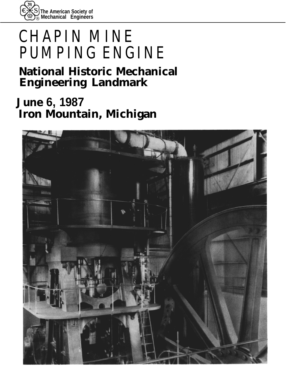

# **CHAPIN MINE PUMPING ENGINE**

# **National Historic Mechanical Engineering Landmark**

**June 6, 1987 Iron Mountain, Michigan**

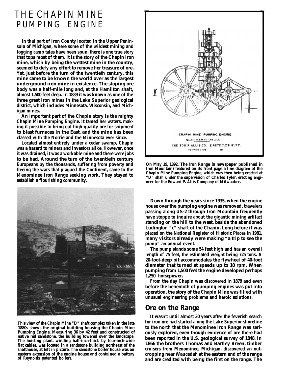# **THE CHAPIN MINE PUMPING ENGINE**

**In that part of Iron County located in the Upper Peninsula of Michigan, where some of the wildest mining and logging camp tales have been spun, there is one true story that tops most of them. It is the story of the Chapin iron mine, which by being the wettest mine in the country, seemed to defy any effort to remove her treasure of ore. Yet, just before the turn of the twentieth century, this mine came to be known the world over as the largest underground iron mine in existence. The sloping ore body was a half-mile long and, at the Hamilton shaft, almost 1,500 feet deep. In 1889 it was known as one of the three great iron mines in the Lake Superior geological district, which includes Minnesota, Wisconsin, and Michigan mines.**

**An important part of the Chapin story is the mighty Chapin Mine Pumping Engine. It tamed her waters, making it possible to bring out high-quality ore for shipment to blast furnaces in the East, and the mine has been classed with the Norrie and the Minnesota ever since.**

**Located almost entirely under a cedar swamp, Chapin was a hazard to miners and investors alike. However, once it was drained, it was a workable mine and there were jobs to be had. Around the turn of the twentieth century Europeans by the thousands, suffering from poverty and fleeing the wars that plagued the Continent, came to the Menominee Iron Range seeking work. They stayed to establish a flourishing community.**



**This view of the Chapin Mine "D" shaft complex taken in the late 1880s shows the original building housing the Chapin Mine Pumping Engine. Measuring 36 by 42 feet and constructed of native red sandstone, the building towered over the landscape. The hoisting plant, winding half-inch-thick by four-inch-wide flat cables, was located in a sandstone building northeast of the shafthouse, at left in picture. The sandstone boiler house was an eastern extension of the engine house and contained a battery of Reynolds patented boilers.**



**On May 19, 1892,** *The Iron Range* **(a newspaper published in Iron Mountain) featured on its front page a line diagram of the Chapin Mine Pumping Engine, which was then being erected at "D" shah under the supervision of Charles Tyler, erecting engineer for the Edward P. Allis Company of Milwaukee.**

**Down through the years since 1935, when the engine house over the pumping engine was removed, travelers passing along US-2 through Iron Mountain frequently have stoppe to inquire about the gigantic mining artifact standing on the hill to the west, beside the abandoned Ludington "c" shaft of the Chapin. Long before it was placed on the National Register of Historic Places in 1981, many visitors already were making "a trip to see the pump" an annual event.**

**The pump stands some 54 feet high and has an overall length of 75 feet, the estimated weight being 725 tons. A 20-foot-deep pit accommodates the flywheel of 40-foot diameter that turned at speeds up to 10 rpm. When pumping from 1,500 feet the engine developed perhaps 1,250 horsepower.**

**From the day Chapin was discovered in 1879 and even before the behemoth of pumping engines was put into operation, the story of the Chapin Mine was filled with unusual engineering problems and heroic solutions.**

### **Ore on the Range**

**It wasn't until almost 30 years after the feverish search for iron ore had started along the Lake Superior shoreline to the north that the Menominee Iron Range was seriously explored, even though evidence of ore there had been reported in the U.S. geological survey of 1848. In 1866 the brothers Thomas and Bartley Breen, timber cruisers from Menominee, Michigan, discovered an outcropping near Waucedah at the eastern end of the range and are credited with being the first on the range. The**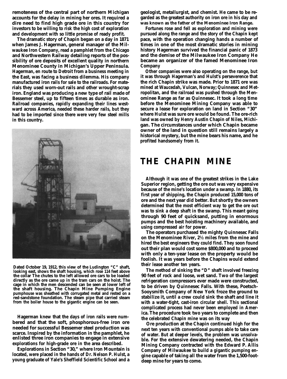**remoteness of the central part of northern Michigan accounts for the delay in mining her ores. It required a dire need to find high grade ore in this country for investors to be willing to risk the high cost of exploration and development with so little promise of ready profit.**

**The dramatic story of Chapin began on a day in 1871 when James J. Hagerman, general manager of the Milwaukee Iron Company, read a pamphlet from the Chicago and Northwestern Railway detailing reports of the possibility of ore deposits of excellent quality in northern Menominee County in Michigan's Upper Peninsula. Hagerman, en route to Detroit from a business meeting in the East, was facing a business dilemma. His company manufactured iron rails for sale to the railroads. For materials they used worn-out rails and other wrought-scrap iron. England was producing a new type of rail made of Bessemer steel, up to fifteen times as durable as iron. Railroad companies, rapidly expanding their lines westward across America, needed these harder rails, but they had to be imported since there were very few steel mills in this country.**



**Dated October 19, 1912, this view of the Ludington "C" shaft, looking east, shows the shaft housing, which rose 114 feet above the collar The chutes to the left allowed ore cars to be loaded directly as the ore came up in the tram cars on the hoist. The cage in which the men descended can be seen at lower left of the shaft housing. The Chapin Mine Pumping Engine pumphouse was sheathed with corrugated metal and rested on a red-sandstone foundation. The steam pipe that carried steam from the boiler house to the gigantic engine can be seen.**

**Hagerman knew that the days of iron rails were numbered and that the soft, phosphorous-free iron ore needed for successful Bessemer steel production was scarce. Inspired by the information in the pamphlet, he enlisted three iron companies to engage in extensive explorations for high-grade ore in the area described.**

**Explorations in Section "30," where Iron Mountain is located, were placed in the hands of Dr. Nelson P. Hulst, a young graduate of Yale's Sheffield Scientific School and a**

**geologist, metallurgist, and chemist. He came to be regarded as the greatest authority on iron ore in his day and was known as the father of the Menominee Iron Range.**

**Fortunes rose and fell as exploration and mining were pursued along the range and the story of the Chapin kept pace, with the operation changing hands a number of times in one of the most dramatic stories in mining history Hagerman survived the financial panic of 1873 and the demise of the Milwaukee Iron Company He became an organizer of the famed Menominee Iron Company**

**Other companies were also operating on the range, but it was through Hagerman's and Hulst's perseverence that the rich Chapin strike was made. Prior to 1871 ore was mined at Waucedah, Vulcan, Norway; Quinnesec and Metropolitan, and the railroad was pushed through the Menominee Range as far as Quinnesec. It took a long time before the Menominee Mining Company was able to secure a lease for exploration on land in Section "30" where Hulst was sure ore would be found. The ore-rich land was owned by Henry Austin Chapin of Niles, Michigan. The circumstances under which Chapin became owner of the land in question still remains largely a historical mystery, but the mine bears his name, and he profited handsomely from it.**

# **THE CHAPIN MINE**

**Although it was one of the greatest strikes in the Lake Superior region, getting the ore out was very expensive because of the mine's location under a swamp. In 1880, its first year of shipping, the Chapin produced 15,000 tons of ore and the next year did better. But shortly the owners determined that the most efficient way to get the ore out was to sink a deep shaft in the swamp. This meant going through 90 feet of quicksand, putting in enormous pumps and the best hoisting machinery available, and using compressed air for power.**

**The operators purchased the mighty Quinnesec Falls on the Menominee River, 2½ miles from the mine and hired the best engineers they could find. They soon found out their plan would cost some \$800,000 and to proceed with only a ten-year lease on the property would be foolish. It was years before the Chapins would extend their lease another ten years.**

**The method of sinking the "D" shaft involved freezing 90 feet of rock and loose, wet sand. Two of the largest refrigeration compressors ever made were constructed, to be driven by Quinnesec Falls. With these, Poetsch-Sooysmith Company of New York froze the ground to stabilize it, until a crew could sink the shaft and line it with a water-tight, cast-iron circular shell. This sectional complicated process had never been employed in America. The procedure took two years to complete and then the celebrated Chapin mine was on its way**

**Ore production at the Chapin continued high for the next ten years with conventional pumps able to take care of water. But at deeper levels, the problem was unsolvable. For the extensive dewatering needed, the Chapin Mining Company contracted with the Edward P. Allis Company of Milwaukee to build a gigantic pumping engine capable of taking all the water from the 1,500-footdeep mine for years to come.**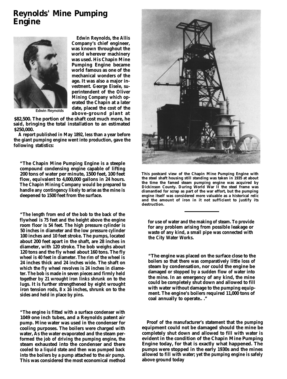## **Reynolds' Mine Pumping Engine**



**Edwin Reynolds, the Allis Company's chief engineer, was known throughout the world wherever machinery was used. His Chapin Mine Pumping Engine became world famous as one of the mechanical wonders of the age. It was also a major investment. George Eisele, superintendent of the Oliver Mining Company which operated the Chapin at a later date, placed the cost of the Edwin Reynolds above-ground plant at**

**\$82,500. The portion of the shaft cost much more, he said, bringing the total installation to an estimated \$250,000.**

**A report published in May 1892, less than a year before the giant pumping engine went into production, gave the following statistics:**

**"The Chapin Mine Pumping Engine is a steeple compound condensing engine capable of lifting 200 tons of water per minute, 1500 feet, 100 feet flow, equivalent to 4,000,000 gallons in 24 hours. The Chapin Mining Company would be prepared to handle any contingency likely to arise as the mine is deepened to 1500 feet from the surface.**

**"The length from end of the bob to the back of the flywheel is 75 feet and the height above the engine room floor is 54 feet. The high pressure cylinder is 50 inches in diameter and the low pressure cylinder 100 inches and 10 feet stroke. The pumps, located about 200 feet apart in the shaft, are 28 inches in diameter, with 120 stroke. The bob weighs about 120 tons and the fly wheel about 160 tons. The fly wheel is 40 feet in diameter. The rim of the wheel is 24 inches thick and 24 inches wide. The shaft on which the fly wheel revolves is 24 inches in diameter. The bob is made in seven pieces and firmly held together by 21 wrought iron links shrunk on to the lugs. It is further strengthened by eight wrought iron tension rods, 8 x 16 inches, shrunk on to the sides and held in place by pins.**

**"The engine is fitted with a surface condenser with 1049 one inch tubes, and a Reynolds patent air pump. Mine water was used in the condenser for cooling purposes. The boilers were charged with water, As the water evaporated and the steam performed the job of driving the pumping engine, the steam exhausted into the condenser and there cooled to a liquid state and then was pumped back into the boilers by a pump attached to the air pump. This was considered the most economical method**



**This postcard view of the Chapin Mine Pumping Engine with the steel shaft housing still standing was taken in 1935 at about the time the famed steam pumping engine was acquired by Dickinson County. During World War II the steel frame was dismantled for scrap as part of the war effort, but the pumping engine itself was considered more valuable as a historical relic and the amount of iron in it not sufficient to justify its destruction.**

**for use of water and the making of steam. To provide for any problem arising from possible leakage or waste of any kind, a small pipe was connected with the City Water Works.**

**"The engine was placed on the surface close to the boilers so that there was comparatively little loss of steam by condensation, nor could the engine be damaged or stopped by a sudden flow of water into the mine. In an emergency of any kind, the mine could be completely shut down and allowed to fill with water without damage to the pumping equipment. The engine's boilers required 11,000 tons of coal annually to operate.. ."**

**Proof of the manufacturer's statement that the pumping equipment could not be damaged should the mine be completely shut down and allowed to fill with water is evident in the condition of the Chapin Mine Pumping Engine today, for that is exactly what happened. The pumps were stopped in the early 1930s and the mines allowed to fill with water; yet the pumping engine is safely above ground today**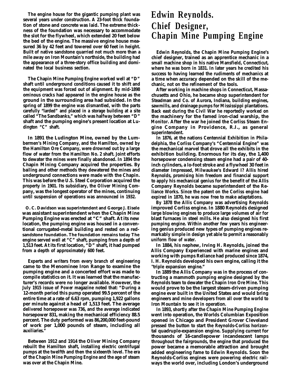**The engine house for the gigantic pumping plant was several years under construction. A 23-foot thick foundation of stone and concrete was laid. The extreme thickness of the foundation was necessary to accommodate the slot for the flywheel, which extended 20 feet below the bed of the engine. The massive engine house measured 36 by 42 feet and towered over 60 feet in height. Built of native sandstone quarried not much more than a mile away on Iron Mountain's northside, the building had the appearance of a three-story office building and dominated the local business section.**

**The Chapin Mine Pumping Engine worked well at "D" shaft until underground conditions caused it to shift and the equipment was forced out of alignment. By mid-1898 ominous cracks had appeared in the engine house as the ground in the surrounding area had subsided. In the spring of 1899 the engine was dismantled, with the parts carefully "larded" and placed in a storage building at a site called "The Sandbanks," which was halfway between "D" shaft and the pumping engine's present location at Ludington "C" shaft.**

**In 1891 the Ludington Mine, owned by the Lumbermen's Mining Company, and the Hamilton, owned by the Hamilton Ore Company, were drowned out by a large flow of water from the Hamilton No. 2 shaft. Joint efforts to dewater the mines were finally abandoned. In 1894 the Chapin Mining Company acquired the properties. By bailing and other methods they dewatered the mines and underground connections were made with the Chapin. This was before the U.S. Steel Corporation acquired the property in 1901. Its subsidiary, the Oliver Mining Company, was the longest operator of the mines, continuing until suspension of operations was announced in 1932.**

**O. C. Davidson was superintendent and George J. Eisele was assistant superintendent when the Chapin Mine Pumping Engine was erected at "C" shaft. At its new location, the pumping engine was housed in a conventional corrugated-metal building and rested on a redsandstone foundation. The foundation remains today The engine served well at "C" shaft, pumping from a depth of 1,513 feet. At its first location, "D" shaft, it had pumped from a depth of approximately 600 feet.**

**Experts and writers from every branch of engineering came to the Menominee Iron Range to examine the pumping engine and a concerted effort was made to compile statistics on it. It was learned that the manufacturer's records were no longer available. However, the July 1915 issue of** *Power* **magazine noted that: "During a 12-month period this pump operated 99.5 percent of the entire time at a rate of 6.63 rpm, pumping 1,922 gallons per minute against a head of 1,513 feet. The average delivered horsepower was 736, and the average indicated horsepower 831, making the mechanical efficiency 88.5 percent. The duty performed was 86,200,000 feet-pound of work per 1,000 pounds of steam, including all auxiliaries."**

**Between 1912 and 1914 the Oliver Mining Company rebuilt the Hamilton shaft, installing electric centrifugal pumps at the twelfth and then the sixteenth level. The era of the Chapin Mine Pumping Engine and the age of steam was over at the Chapin Mine.**

# **Edwin Reynolds. Chief Designer, Chapin Mine Pumping Engine**

**Edwin Reynolds, the Chapin Mine Pumping Engine's chief designer, trained as an apprentice mechanic in a small machine shop in his native Mansfield, Connecticut, where he was born in 1831. In later years he credited his success to having learned the rudiments of mechanics at a time when accuracy depended on the skill of the mechanic, not on the refinement of the tools.**

**After working in machine shops in Connecticut, Massachusetts and Ohio, he became shop superintendent for Steadman and Co. of Aurora, Indiana, building engines, sawmills, and drainage pumps for Mississippi plantations. Back east during the Civil War he reportedly worked on the machinery for the famed iron-clad warship, the** *Monitor.* **After the war he joined the Corliss Steam Engine Company in Providence, R.I., as general superintendent.**

**In 1876, at the nations Centennial Exhibition in Philadelphia, the Corliss Company's "Centennial Engine" was the mechanical marvel that drove all the exhibits in the exhibition building. Enormous for its day, the 1,400 horsepower condensing steam engine had a pair of 40 inch cylinders, a lo-foot stroke and a flywheel 30 feet in diameter Impressed, Milwaukee's Edward I? Allis hired Reynolds, promising him freedom and financial support to apply his mechanical genius for the benefit of the Allis Company Reynolds became superintendent of the Reliance Works. Since the patent on the Corliss engine had expired in 1870, he was now free to make adaptations.**

**By 1878 the Allis Company was advertising Reynolds improved Corliss engine. In 1880 Reynolds designed large blowing engines to produce large volumes of air for blast furnaces in steel mills. He also designed his first pumping engine. Within another few years his engineering genius produced new types of pumping engines remarkably simple in design yet able to permit a reasonably uniform flow of water.**

**In 1884, his nephew, Irving H. Reynolds, joined the Allis Company Experienced with marine engines and working with pumps Reliance had produced since 1874, I. H. Reynolds developed his own engine, calling it the "triple expansion engine."**

**In 1889 the Allis Company was in the process of contructing a mammoth pumping engine designed by the Reynolds team to dewater the Chapin Iron Ore Mine. This would prove to be the largest steam-driven pumping engine ever built in the United States and would bring engineers and mine developers from all over the world to Iron Mountain to see it in operation.**

**In 1893, shortly after the Chapin Mine Pumping Engine went into operation, the Worlds Columbian Exposition opened in Chicago and President Grover Cleveland pressed the button to start the Reynolds-Corliss horizontal quadruple-expansion engine. Supplying current for thousands of 16-candlepower incandescent lamps throughout the fairgrounds, the engine that produced the power became a memorable attraction and brought added engineering fame to Edwin Reynolds. Soon the Reynolds-Corliss engines were powering electric railways the world over, including London's underground**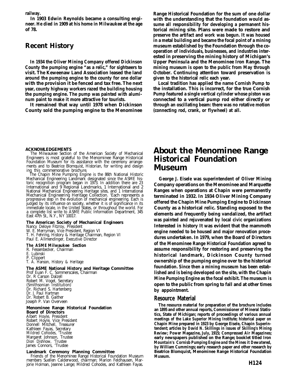**railway.**

**In 1903 Edwin Reynolds became a consulting engineer. He died in 1909 at his home in Milwaukee at the age of 78.**

### **Recent History**

**In 1934 the Oliver Mining Company offered Dickinson County the pumping engine "as a relic," for sightseers to visit. The Keweenaw Land Association leased the land around the pumping engine to the county for one dollar with the provision it be fenced and tax free. The next year, county highway workers razed the building housing the pumping engine. The pump was painted with aluminum paint to make it more attractive for tourists.**

**It remained that way until 1978 when Dickinson County sold the pumping engine to the Menominee** **Range Historical Foundation for the sum of one dollar with the understanding that the foundation would assume all responsibility for developing a permanent historical mining site. Plans were made to restore and preserve the artifact and work was begun. It was housed in a metal building and became the focal point of a mining museum established by the Foundation through the cooperation of individuals, businesses, and industries interested in preserving the mining history of Michigan's Upper Peninsula and the Menominee Iron Range. The mining museum is open to the public from May through October. Continuing attention toward preservation is given to the historical relic each year.**

**Local tradition has applied the name Cornish Pump to the installation. This is incorrect, for the true Cornish Pump featured a single vertical cylinder whose piston was connected to a vertical pump rod either directly or through an oscillating beam: there was no rotative motion (connecting rod, crank, or flywheel) at all.**

#### **ACKNOWLEDGEMENTS**

The Milwaukee Section of the American Society of Mechanical Engineers is most grateful to the Menominee Range Historical Foundation Museum for its assistance with the ceremony arrangements and to Beatrice Blomquist, Historian, for writing and design ing this commemorative brochure.

The Chapin Mine Pumping Engine is the 86th National Historic Mechanical Engineering Landmark designated since the ASME historic recognition program began in 1973. In addition there are 23 International and 9 Regional Landmarks, 1 International and 2 National Mechanical Engineering Heritage sites, and 1 International Mechanical Engineering Heritage Collection. 'Each represents a progressive step in the evolution of mechanical engineering. Each is judged by its influence on society, whether it is of significance in its immediate locale, in the United States, or throughout the world. For a complete list write to ASME Public Information Department, 345 East 47th St., N.Y., NY 10017.

#### **The American Society of Mechanical Engineers**

Nancy Deloye Fitzroy, President W. E. Merryman, Vice President, Region VI T. H. Fehring, History & Heritage Chairman, Region VI Paul E. Allmendinger, Executive Director

#### **The ASME Milwaukee Section**

- R. Fessenbecker, Chairman
- E. Lubinski

P. Clippert

T. A. Hanson, History & Heritage

#### **The ASME National History and Heritage Committee** Prof Euan F. C. Sommerscales, Chairman Dr. R Carson Dalzell

Robert M. Vogel, Secretary (Smithsonian Institution) Dr. Richard S. Hartenberg Dr. J. Paul Hartman Dr. Robert B. Gaither Joseph P. Van Overveen

#### **Menominee Range Historical Foundation Board of Directors** Albert Hoyle, President

Robert Hoyle, Vice President Donnell Mitchell, Treasurer Kathleen Fayas, Secretary Mildred Cohodes, 'Trustee Margaret Johnson, Trustee Dion Dishnow, 'Trustee James Connors, 'Trustee

#### **Landmark Ceremony Planning Committee**

Friends of the Menominee Range Historical Foundation Museum members Suellen Calderwood, chairman; Marion Feldhausen, Marjorie Holman, Jeanne Lange; Mildred Cohodes, and Kathleen Fayas.

## **About the Menominee Range Historical Foundation Museum**

**George J. Eisele was superintendent of Oliver Mining Company operations on the Menominee and Marquette Ranges when operations at Chapin were permanently terminated in 1932. In 1934 Oliver Mining Company offered the Chapin Mine Pumping Engine to Dickinson County as a historical relic. Standing exposed to the elements and frequently being vandalized, the artifact was painted and rejuvenated by local civic organizations Interested in history It was evident that the mammoth engine needed to be housed and major renovation procedures undertaken. In 1979, when the Board of Directors of the Menominee Range Historical Foundation agreed to assume responsibility for restoring and preserving the historical landmark, Dickinson County turned ownership of the pumping engine over to the historical foundation. Since then a mining museum has been established and is being developed on the site, with the Chapin Mine Pumping Engine as the focal exhibit. The museum is open to the public from spring to fall and at other times by appointment.**

#### **Resource Material**

**The resource material for preparation of the brochure includes an 1895 and other annual reports, Commissioner of Mineral Statistics, State of Michigan; reports of proceedings of various annual meetings of the Lake Superior Mining Institute; historical paper on Chapin Mine prepared in 1923 by George Eisele, Chapin Superintendent; articles by David N. Skillings in issues of Skilling's Mining** *Review; Power* **Magazine, July, 1915;** *Compressed Air* **Magazines; early newspapers published on the Range; booklet titled Iron** *Mountain's Cornisb Pumping Engine and the Mines it Dewatered,* **by William Cummings; early research paper and other research by Beatrice Blomquist, Menominee Range Historical Foundation Museum.**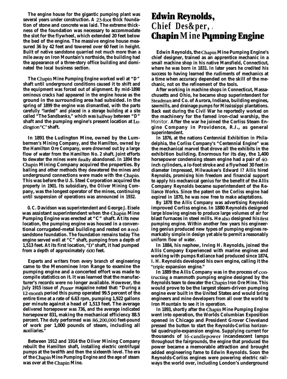**The engine house for the gigantic pumping plant was several years under construction. A 23-foot thick foundation of stone and concrete was laid. The extreme thickness of the foundation was necessary to accommodate the slot for the flywheel, which extended 20 feet below the bed of the engine. The massive engine house measured 36 by 42 feet and towered over 60 feet in height. Built of native sandstone quarried not much more than a mile away on Iron Mountain's northside, the building had the appearance of a three-story office building and dominated the local business section.**

**The Chapin Mine Pumping Engine worked well at "D" shaft until underground conditions caused it to shift and the equipment was forced out of alignment. By mid-1898 ominous cracks had appeared in the engine house as the ground in the surrounding area had subsided. In the spring of 1899 the engine was dismantled, with the parts carefully "larded" and placed in a storage building at a site called "The Sandbanks," which was halfway between "D" shaft and the pumping engine's present location at Ludington "c" shaft.**

**In 1891 the Ludington Mine, owned by the Lumbermen's Mining Company, and the Hamilton, owned by the Hamilton Ore Company, were drowned out by a large flow of water from the Hamilton No. 2 shaft. Joint efforts to dewater the mines were finally abandoned. In 1894 the Chapin Mining Company acquired the properties. By bailing and other methods they dewatered the mines and underground connections were made with the Chapin. This was before the U.S. Steel Corporation acquired the property in 1901. Its subsidiary, the Oliver Mining Company, was the longest operator of the mines, continuing until suspension of operations was announced in 1932.**

**0. C. Davidson was superintendent and George J. Eisele was assistant superintendent when the Chapin Mine Pumping Engine was erected at "C" shaft. At its new location, the pumping engine was housed in a conventional corrugated-metal building and rested on a redsandstone foundation. The foundation remains today The engine served well at "C" shaft, pumping from a depth of 1,513 feet. At its first location, "D" shaft, it had pumped from a depth of approximately 600 feet.**

**Experts and writers from every branch of engineering came to the Menominee Iron Range to examine the pumping engine and a concerted effort was made to compile statistics on it. It was learned that the manufacturer's records were no longer available. However, the July 1915 issue of** *Power* **magazine noted that: "During a 12-month period this pump operated 99.5 percent of the entire time at a rate of 6.63 rpm, pumping 1,922 gallons per minute against a head of 1,513 feet. The average delivered horsepower was 736, and the average indicated horsepower 831, making the mechanical efficiency 88.5 percent. The duty performed was 86,200,OOO feet-pound of work per 1,000 pounds of steam, including all auxiliaries."**

**Between 1912 and 1914 the Oliver Mining Company rebuilt the Hamilton shaft, installing electric centrifugal pumps at the twelfth and then the sixteenth level. The era of the Chapin Mine Pumping Engine and the age of steam was over at the Chapin Mine.**

# **Edwin Reynolds, Chief Des&per, . Chapin Mine Pumping Engine**

**Edwin Reynolds, the Chapin Mine Pumping Engine's chief designer, trained as an apprentice mechanic in a small machine shop in his native Mansfield, Connecticut, where he was born in 1831. In later years he credited his success to having learned the rudiments of mechanics at a time when accuracy depended on the skill of the mechanic, not on the refinement of the tools.**

**After working in machine shops in Connecticut, Massachusetts and Ohio, he became shop superintendent for Steadman and Co. of Aurora, Indiana, building engines, sawmills, and drainage pumps for Mississippi plantations. Back east during the Civil War he reportedly worked on the machinery for the famed iron-clad warship, the** *Monitor.* **After the war he joined the Corliss Steam Engine Company in Providence, R.I., as general superintendent.**

**In 1876, at the nations Centennial Exhibition in Philadelphia, the Corliss Company's "Centennial Engine" was the mechanical marvel that drove all the exhibits in the exhibition building. Enormous for its day, the 1,400 horsepower condensing steam engine had a pair of 40 inch cylinders, a lo-foot stroke and a flywheel 30 feet in diameter Impressed, Milwaukee's Edward I? Allis hired Reynolds, promising him freedom and financial support to apply his mechanical genius for the benefit of the Allis Company Reynolds became superintendent of the Reliance Works. Since the patent on the Corliss engine had expired in 1870, he was now free to make adaptations.**

**By 1878 the Allis Company was advertising Reynolds improved Corliss engine. In 1880 Reynolds designed large blowing engines to produce large volumes of air for** blast furnaces in steel mills. He also designed his first **pumping engine. Within another few years his engineering genius produced new types of pumping engines remarkably simple in design yet able to permit a reasonably uniform flow of water.**

**In 1884, his nephew, Irving H. Reynolds, joined the Allis Company Experienced with marine engines and working with pumps Reliance had produced since 1874, I. H. Reynolds developed his own engine, calling it the Yriple expansion engine."**

**In 1889 the Allis Company was in the process of contructing a mammoth pumping engine designed by the Reynolds team to dewater the Chapin Iron Ore Mine. This would prove to be the largest steam-driven pumping engine ever built in the United States and would bring engineers and mine developers from all over the world to Iron Mountain to see it in operation.**

**In 1893, shortly after the Chapin Mine Pumping Engine went into operation, the Worlds Columbian Exposition opened in Chicago and President Grover Cleveland pressed the button to start the Reynolds-Corliss horizontal quadruple-expansion engine. Supplying current for thousands of 16candlepower incandescent lamps throughout the fairgrounds, the engine that produced the power became a memorable attraction and brought added engineering fame to Edwin Reynolds. Soon the Reynolds-Corliss engines were powering electric railways the world over, including London's underground**